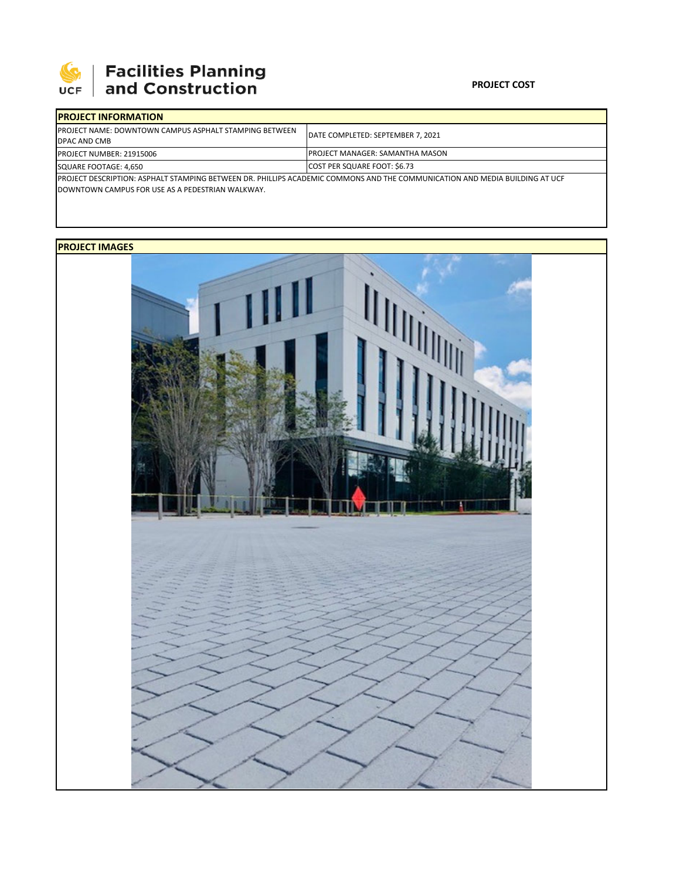

## 

### **PROJECT COST**

| <b>IPROJECT INFORMATION</b>                                                                                                                                                      |                                        |  |  |
|----------------------------------------------------------------------------------------------------------------------------------------------------------------------------------|----------------------------------------|--|--|
| <b>IPROJECT NAME: DOWNTOWN CAMPUS ASPHALT STAMPING BETWEEN</b><br><b>DPAC AND CMB</b>                                                                                            | DATE COMPLETED: SEPTEMBER 7. 2021      |  |  |
| <b>PROJECT NUMBER: 21915006</b>                                                                                                                                                  | <b>PROJECT MANAGER: SAMANTHA MASON</b> |  |  |
| SQUARE FOOTAGE: 4,650                                                                                                                                                            | <b>COST PER SQUARE FOOT: \$6.73</b>    |  |  |
| IPROJECT DESCRIPTION: ASPHALT STAMPING BETWEEN DR. PHILLIPS ACADEMIC COMMONS AND THE COMMUNICATION AND MEDIA BUILDING AT UCF<br>DOWNTOWN CAMPUS FOR USE AS A PEDESTRIAN WALKWAY. |                                        |  |  |

### **PROJECT IMAGES**